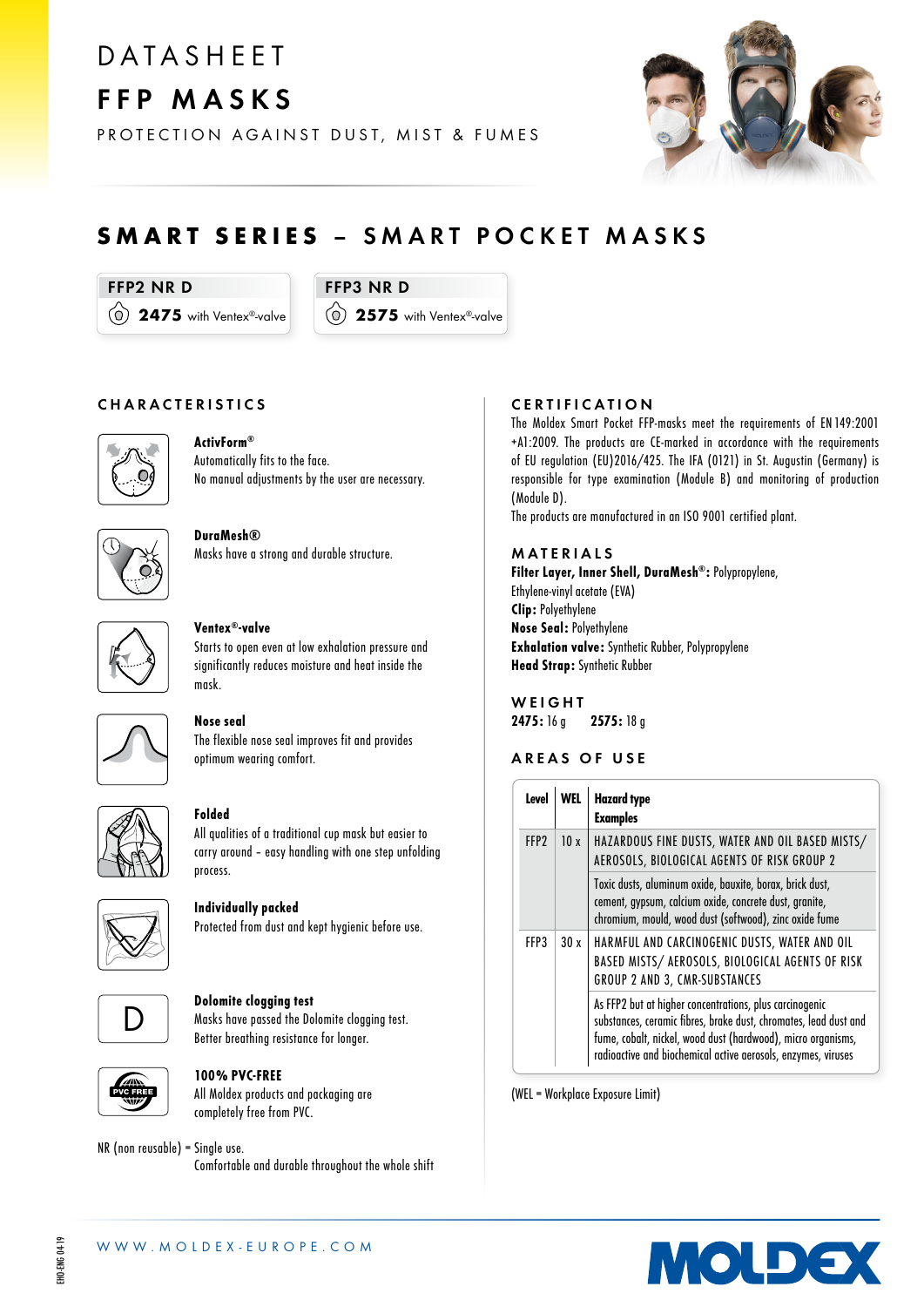# **DATASHEET** FFP MASKS

PROTECTION AGAINST DUST, MIST & FUMES



# SMART SERIES – SMART POCKET MASKS

FFP2 NR D

 $(0)$  2475 with Ventex®-valve

FFP3 NR D 2575 with Ventex®-valve

#### CHARACTERISTICS



# ActivForm®

Automatically fits to the face. No manual adjustments by the user are necessary.



DuraMesh® Masks have a strong and durable structure.



#### Ventex®-valve

Starts to open even at low exhalation pressure and significantly reduces moisture and heat inside the mask.



# Nose seal

The flexible nose seal improves fit and provides optimum wearing comfort.



#### Folded

All qualities of a traditional cup mask but easier to carry around – easy handling with one step unfolding process.



Individually packed Protected from dust and kept hygienic before use.



#### Dolomite clogging test

Masks have passed the Dolomite clogging test. Better breathing resistance for longer.



### 100% PVC-FREE

All Moldex products and packaging are completely free from PVC.

# NR (non reusable) = Single use.

Comfortable and durable throughout the whole shift

## CERTIFICATION

The Moldex Smart Pocket FFP-masks meet the requirements of EN 149:2001 +A1:2009. The products are CE-marked in accordance with the requirements of EU regulation (EU)2016/425. The IFA (0121) in St. Augustin (Germany) is responsible for type examination (Module B) and monitoring of production (Module D).

The products are manufactured in an ISO 9001 certified plant.

#### MATERIALS

Filter Layer, Inner Shell, DuraMesh®: Polypropylene, Ethylene-vinyl acetate (EVA) Clip: Polyethylene Nose Seal: Polyethylene Exhalation valve: Synthetic Rubber, Polypropylene Head Strap: Synthetic Rubber

**WEIGHT** 2475: 16 g 2575: 18 g

#### AREAS OF USE

| Level            |                                      | <b>Hazard type</b><br><b>Examples</b>                                                                                                                                                                                                                        |
|------------------|--------------------------------------|--------------------------------------------------------------------------------------------------------------------------------------------------------------------------------------------------------------------------------------------------------------|
| FFP <sub>2</sub> | 10x                                  | HAZARDOUS FINE DUSTS, WATER AND OIL BASED MISTS/<br>AEROSOLS, BIOLOGICAL AGENTS OF RISK GROUP 2                                                                                                                                                              |
|                  |                                      | Toxic dusts, aluminum oxide, bauxite, borax, brick dust,<br>cement, gypsum, calcium oxide, concrete dust, granite,<br>chromium, mould, wood dust (softwood), zinc oxide fume                                                                                 |
| FFP3             | 30x<br>GROUP 2 AND 3, CMR-SUBSTANCES | HARMFUL AND CARCINOGENIC DUSTS, WATER AND OIL<br>BASED MISTS/ AEROSOLS, BIOLOGICAL AGENTS OF RISK                                                                                                                                                            |
|                  |                                      | As FFP2 but at higher concentrations, plus carcinogenic<br>substances, ceramic fibres, brake dust, chromates, lead dust and<br>fume, cobalt, nickel, wood dust (hardwood), micro organisms,<br>radioactive and biochemical active aerosols, enzymes, viruses |

(WEL = Workplace Exposure Limit)